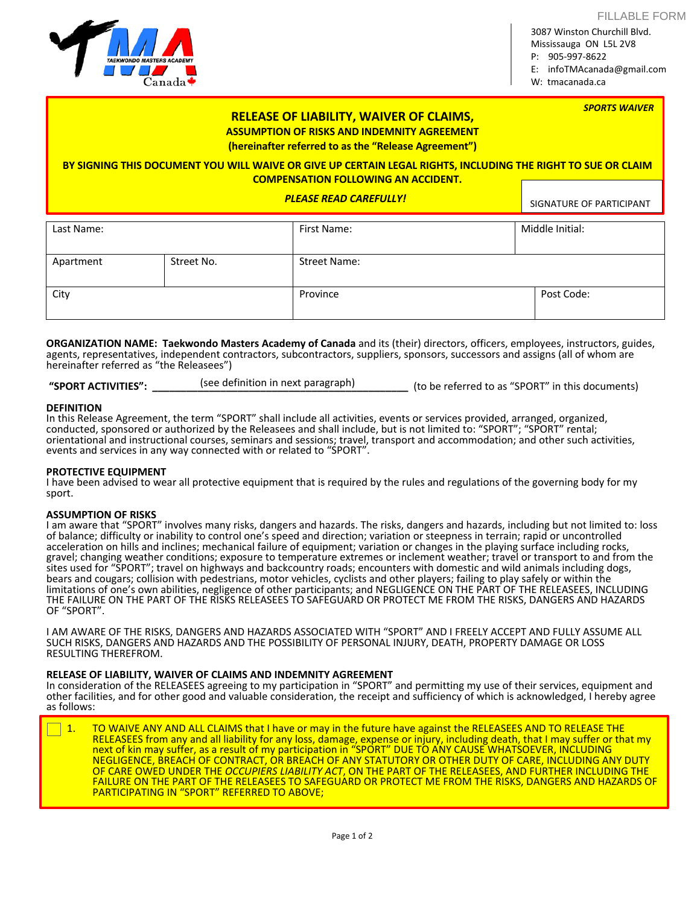FILLABLE FORM

3087 Winston Churchill Blvd. Mississauga ON L5L 2V8 P: 905-997-8622

E: infoTMAcanada@gmail.com

W: tmacanada.ca

| <b>SPORTS WAIVER</b><br><b>RELEASE OF LIABILITY, WAIVER OF CLAIMS,</b><br><b>ASSUMPTION OF RISKS AND INDEMNITY AGREEMENT</b><br>(hereinafter referred to as the "Release Agreement")<br>BY SIGNING THIS DOCUMENT YOU WILL WAIVE OR GIVE UP CERTAIN LEGAL RIGHTS, INCLUDING THE RIGHT TO SUE OR CLAIM<br><b>COMPENSATION FOLLOWING AN ACCIDENT.</b> |            |                               |                          |  |
|----------------------------------------------------------------------------------------------------------------------------------------------------------------------------------------------------------------------------------------------------------------------------------------------------------------------------------------------------|------------|-------------------------------|--------------------------|--|
|                                                                                                                                                                                                                                                                                                                                                    |            | <b>PLEASE READ CAREFULLY!</b> | SIGNATURE OF PARTICIPANT |  |
| Last Name:                                                                                                                                                                                                                                                                                                                                         |            | First Name:                   | Middle Initial:          |  |
| Apartment                                                                                                                                                                                                                                                                                                                                          | Street No. | <b>Street Name:</b>           |                          |  |
| City                                                                                                                                                                                                                                                                                                                                               |            | Province                      | Post Code:               |  |

**ORGANIZATION NAME: Taekwondo Masters Academy of Canada** and its (their) directors, officers, employees, instructors, guides, agents, representatives, independent contractors, subcontractors, suppliers, sponsors, successors and assigns (all of whom are hereinafter referred as "the Releasees")

**"SPORT ACTIVITIES": \_\_\_\_\_\_\_\_\_\_\_\_\_\_\_\_\_\_\_\_\_\_\_\_\_\_\_\_\_\_\_\_\_\_\_\_\_\_\_\_\_\_\_\_\_** (to be referred to as "SPORT" in this documents) (see definition in next paragraph)

## **DEFINITION**

In this Release Agreement, the term "SPORT" shall include all activities, events or services provided, arranged, organized, conducted, sponsored or authorized by the Releasees and shall include, but is not limited to: "SPORT"; "SPORT" rental; orientational and instructional courses, seminars and sessions; travel, transport and accommodation; and other such activities, events and services in any way connected with or related to "SPORT".

## **PROTECTIVE EQUIPMENT**

I have been advised to wear all protective equipment that is required by the rules and regulations of the governing body for my sport.

## **ASSUMPTION OF RISKS**

I am aware that "SPORT" involves many risks, dangers and hazards. The risks, dangers and hazards, including but not limited to: loss of balance; difficulty or inability to control one's speed and direction; variation or steepness in terrain; rapid or uncontrolled acceleration on hills and inclines; mechanical failure of equipment; variation or changes in the playing surface including rocks, gravel; changing weather conditions; exposure to temperature extremes or inclement weather; travel or transport to and from the sites used for "SPORT"; travel on highways and backcountry roads; encounters with domestic and wild animals including dogs, bears and cougars; collision with pedestrians, motor vehicles, cyclists and other players; failing to play safely or within the limitations of one's own abilities, negligence of other participants; and NEGLIGENCE ON THE PART OF THE RELEASEES, INCLUDING THE FAILURE ON THE PART OF THE RISKS RELEASEES TO SAFEGUARD OR PROTECT ME FROM THE RISKS, DANGERS AND HAZARDS OF "SPORT".

I AM AWARE OF THE RISKS, DANGERS AND HAZARDS ASSOCIATED WITH "SPORT" AND I FREELY ACCEPT AND FULLY ASSUME ALL SUCH RISKS, DANGERS AND HAZARDS AND THE POSSIBILITY OF PERSONAL INJURY, DEATH, PROPERTY DAMAGE OR LOSS RESULTING THEREFROM.

## **RELEASE OF LIABILITY, WAIVER OF CLAIMS AND INDEMNITY AGREEMENT**

In consideration of the RELEASEES agreeing to my participation in "SPORT" and permitting my use of their services, equipment and other facilities, and for other good and valuable consideration, the receipt and sufficiency of which is acknowledged, I hereby agree as follows:

1. TO WAIVE ANY AND ALL CLAIMS that I have or may in the future have against the RELEASEES AND TO RELEASE THE RELEASEES from any and all liability for any loss, damage, expense or injury, including death, that I may suffer or that my next of kin may suffer, as a result of my participation in "SPORT" DUE TO ANY CAUSE WHATSOEVER, INCLUDING NEGLIGENCE, BREACH OF CONTRACT, OR BREACH OF ANY STATUTORY OR OTHER DUTY OF CARE, INCLUDING ANY DUTY OF CARE OWED UNDER THE *OCCUPIERS LIABILITY ACT*, ON THE PART OF THE RELEASEES, AND FURTHER INCLUDING THE FAILURE ON THE PART OF THE RELEASEES TO SAFEGUARD OR PROTECT ME FROM THE RISKS, DANGERS AND HAZARDS OF PARTICIPATING IN "SPORT" REFERRED TO ABOVE;